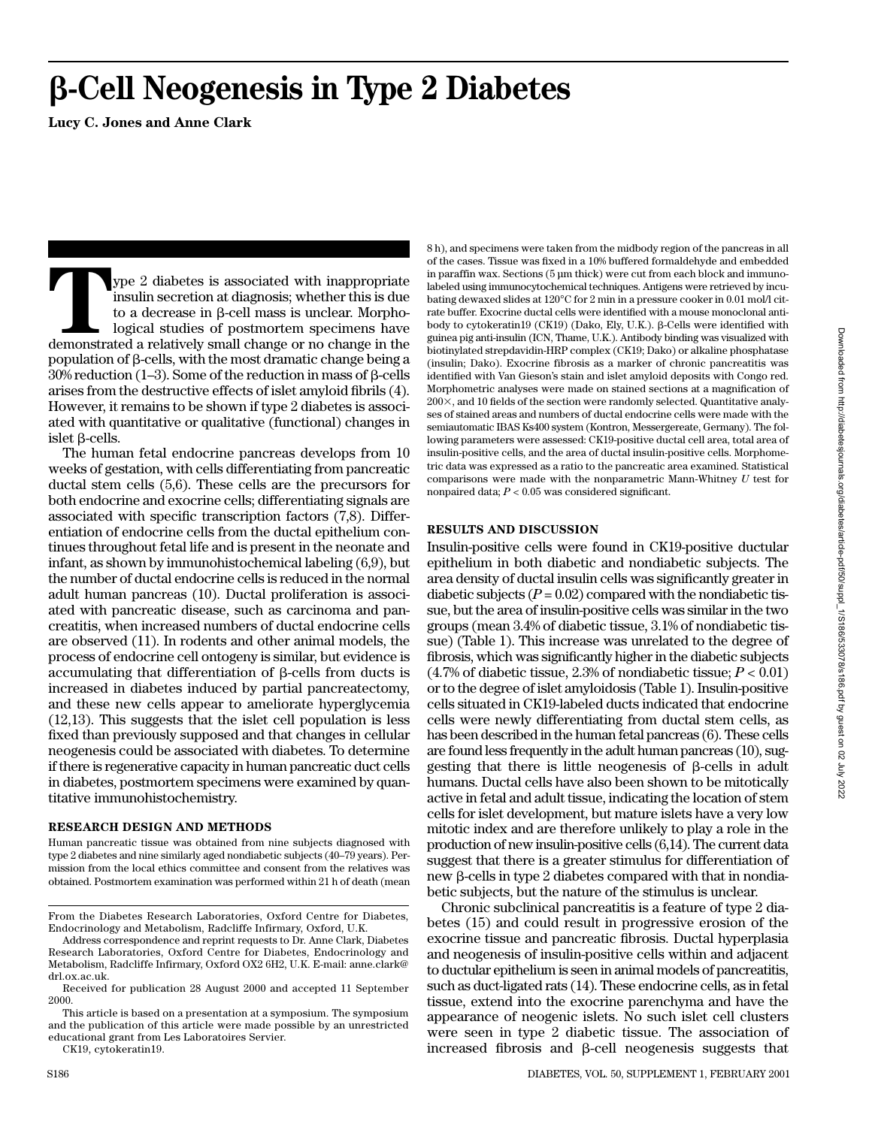# -**-Cell Neogenesis in Type 2 Diabetes**

**Lucy C. Jones and Anne Clark**

**Type 2 diabetes is associated with inappropriate** insulin secretion at diagnosis; whether this is due to a decrease in  $\beta$ -cell mass is unclear. Morphological studies of postmortem specimens have demonstrated a relative insulin secretion at diagnosis; whether this is due to a decrease in  $\beta$ -cell mass is unclear. Morphological studies of postmortem specimens have  $p$ opulation of  $\beta$ -cells, with the most dramatic change being a  $30\%$  reduction (1–3). Some of the reduction in mass of  $\beta$ -cells arises from the destructive effects of islet amyloid fibrils (4). However, it remains to be shown if type 2 diabetes is associated with quantitative or qualitative (functional) changes in  $islet \beta$ -cells.

The human fetal endocrine pancreas develops from 10 weeks of gestation, with cells differentiating from pancreatic ductal stem cells (5,6). These cells are the precursors for both endocrine and exocrine cells; differentiating signals are associated with specific transcription factors (7,8). Differentiation of endocrine cells from the ductal epithelium continues throughout fetal life and is present in the neonate and infant, as shown by immunohistochemical labeling (6,9), but the number of ductal endocrine cells is reduced in the normal adult human pancreas (10). Ductal proliferation is associated with pancreatic disease, such as carcinoma and pancreatitis, when increased numbers of ductal endocrine cells are observed (11). In rodents and other animal models, the process of endocrine cell ontogeny is similar, but evidence is accumulating that differentiation of  $\beta$ -cells from ducts is increased in diabetes induced by partial pancreatectomy, and these new cells appear to ameliorate hyperglycemia (12,13). This suggests that the islet cell population is less fixed than previously supposed and that changes in cellular neogenesis could be associated with diabetes. To determine if there is regenerative capacity in human pancreatic duct cells in diabetes, postmortem specimens were examined by quantitative immunohistochemistry.

#### **RESEARCH DESIGN AND METHODS**

Human pancreatic tissue was obtained from nine subjects diagnosed with type 2 diabetes and nine similarly aged nondiabetic subjects (40–79 years). Permission from the local ethics committee and consent from the relatives was obtained. Postmortem examination was performed within 21 h of death (mean

CK19, cytokeratin19.

8 h), and specimens were taken from the midbody region of the pancreas in all of the cases. Tissue was fixed in a 10% buffered formaldehyde and embedded in paraffin wax. Sections (5 µm thick) were cut from each block and immunolabeled using immunocytochemical techniques. Antigens were retrieved by incubating dewaxed slides at 120°C for 2 min in a pressure cooker in 0.01 mol/l citrate buffer. Exocrine ductal cells were identified with a mouse monoclonal antibody to cytokeratin19 (CK19) (Dako, Ely, U.K.).  $\beta$ -Cells were identified with guinea pig anti-insulin (ICN, Thame, U.K.). Antibody binding was visualized with biotinylated strepdavidin-HRP complex (CK19; Dako) or alkaline phosphatase (insulin; Dako). Exocrine fibrosis as a marker of chronic pancreatitis was identified with Van Gieson's stain and islet amyloid deposits with Congo red. Morphometric analyses were made on stained sections at a magnification of  $200\times$ , and 10 fields of the section were randomly selected. Quantitative analyses of stained areas and numbers of ductal endocrine cells were made with the semiautomatic IBAS Ks400 system (Kontron, Messergereate, Germany). The following parameters were assessed: CK19-positive ductal cell area, total area of insulin-positive cells, and the area of ductal insulin-positive cells. Morphometric data was expressed as a ratio to the pancreatic area examined. Statistical comparisons were made with the nonparametric Mann-Whitney *U* test for nonpaired data;  $P < 0.05$  was considered significant.

### **RESULTS AND DISCUSSION**

Insulin-positive cells were found in CK19-positive ductular epithelium in both diabetic and nondiabetic subjects. The area density of ductal insulin cells was significantly greater in diabetic subjects  $(P = 0.02)$  compared with the nondiabetic tissue, but the area of insulin-positive cells was similar in the two groups (mean 3.4% of diabetic tissue, 3.1% of nondiabetic tissue) (Table 1). This increase was unrelated to the degree of fibrosis, which was significantly higher in the diabetic subjects  $(4.7\% \text{ of diabetic tissue}, 2.3\% \text{ of nondiabetic tissue}; P < 0.01)$ or to the degree of islet amyloidosis (Table 1). Insulin-positive cells situated in CK19-labeled ducts indicated that endocrine cells were newly differentiating from ductal stem cells, as has been described in the human fetal pancreas (6). These cells are found less frequently in the adult human pancreas (10), suggesting that there is little neogenesis of  $\beta$ -cells in adult humans. Ductal cells have also been shown to be mitotically active in fetal and adult tissue, indicating the location of stem cells for islet development, but mature islets have a very low mitotic index and are therefore unlikely to play a role in the production of new insulin-positive cells (6,14). The current data suggest that there is a greater stimulus for differentiation of  $new \beta$ -cells in type 2 diabetes compared with that in nondiabetic subjects, but the nature of the stimulus is unclear.

Chronic subclinical pancreatitis is a feature of type 2 diabetes (15) and could result in progressive erosion of the exocrine tissue and pancreatic fibrosis. Ductal hyperplasia and neogenesis of insulin-positive cells within and adjacent to ductular epithelium is seen in animal models of pancreatitis, such as duct-ligated rats (14). These endocrine cells, as in fetal tissue, extend into the exocrine parenchyma and have the appearance of neogenic islets. No such islet cell clusters were seen in type 2 diabetic tissue. The association of increased fibrosis and  $\beta$ -cell neogenesis suggests that

From the Diabetes Research Laboratories, Oxford Centre for Diabetes, Endocrinology and Metabolism, Radcliffe Infirmary, Oxford, U.K.

Address correspondence and reprint requests to Dr. Anne Clark, Diabetes Research Laboratories, Oxford Centre for Diabetes, Endocrinology and Metabolism, Radcliffe Infirmary, Oxford OX2 6H2, U.K. E-mail: anne.clark@ drl.ox.ac.uk.

Received for publication 28 August 2000 and accepted 11 September 2000.

This article is based on a presentation at a symposium. The symposium and the publication of this article were made possible by an unrestricted educational grant from Les Laboratoires Servier.